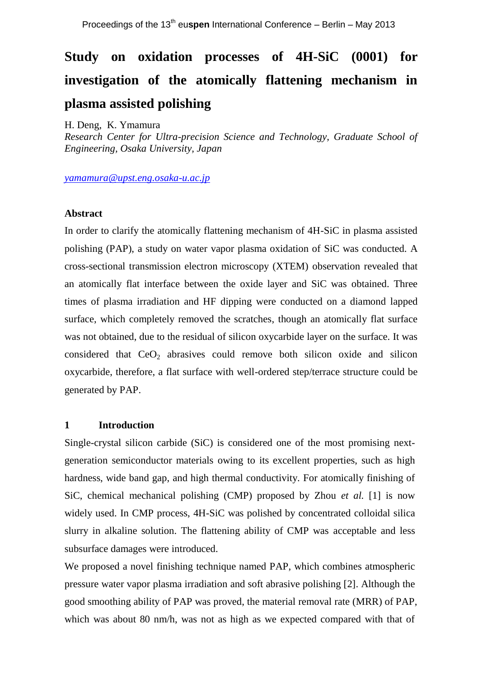# **Study on oxidation processes of 4H-SiC (0001) for investigation of the atomically flattening mechanism in plasma assisted polishing**

H. Deng, K. Ymamura

*Research Center for Ultra-precision Science and Technology, Graduate School of Engineering, Osaka University, Japan*

*[yamamura@upst.eng.osaka-u.ac.jp](mailto:yamamura@upst.eng.osaka-u.ac.jp)*

## **Abstract**

In order to clarify the atomically flattening mechanism of 4H-SiC in plasma assisted polishing (PAP), a study on water vapor plasma oxidation of SiC was conducted. A cross-sectional transmission electron microscopy (XTEM) observation revealed that an atomically flat interface between the oxide layer and SiC was obtained. Three times of plasma irradiation and HF dipping were conducted on a diamond lapped surface, which completely removed the scratches, though an atomically flat surface was not obtained, due to the residual of silicon oxycarbide layer on the surface. It was considered that  $CeO<sub>2</sub>$  abrasives could remove both silicon oxide and silicon oxycarbide, therefore, a flat surface with well-ordered step/terrace structure could be generated by PAP.

# **1 Introduction**

Single-crystal silicon carbide (SiC) is considered one of the most promising nextgeneration semiconductor materials owing to its excellent properties, such as high hardness, wide band gap, and high thermal conductivity. For atomically finishing of SiC, chemical mechanical polishing (CMP) proposed by Zhou *et al.* [1] is now widely used. In CMP process, 4H-SiC was polished by concentrated colloidal silica slurry in alkaline solution. The flattening ability of CMP was acceptable and less subsurface damages were introduced.

We proposed a novel finishing technique named PAP, which combines atmospheric pressure water vapor plasma irradiation and soft abrasive polishing [2]. Although the good smoothing ability of PAP was proved, the material removal rate (MRR) of PAP, which was about 80 nm/h, was not as high as we expected compared with that of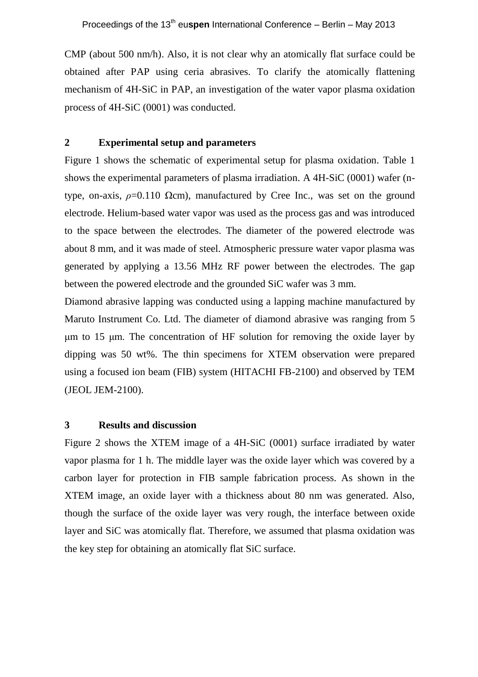CMP (about 500 nm/h). Also, it is not clear why an atomically flat surface could be obtained after PAP using ceria abrasives. To clarify the atomically flattening mechanism of 4H-SiC in PAP, an investigation of the water vapor plasma oxidation process of 4H-SiC (0001) was conducted.

#### **2 Experimental setup and parameters**

Figure 1 shows the schematic of experimental setup for plasma oxidation. Table 1 shows the experimental parameters of plasma irradiation. A 4H-SiC (0001) wafer (ntype, on-axis,  $\rho = 0.110 \Omega$ cm), manufactured by Cree Inc., was set on the ground electrode. Helium-based water vapor was used as the process gas and was introduced to the space between the electrodes. The diameter of the powered electrode was about 8 mm, and it was made of steel. Atmospheric pressure water vapor plasma was generated by applying a 13.56 MHz RF power between the electrodes. The gap between the powered electrode and the grounded SiC wafer was 3 mm.

Diamond abrasive lapping was conducted using a lapping machine manufactured by Maruto Instrument Co. Ltd. The diameter of diamond abrasive was ranging from 5 μm to 15 μm. The concentration of HF solution for removing the oxide layer by dipping was 50 wt%. The thin specimens for XTEM observation were prepared using a focused ion beam (FIB) system (HITACHI FB-2100) and observed by TEM (JEOL JEM-2100).

# **3 Results and discussion**

Figure 2 shows the XTEM image of a 4H-SiC (0001) surface irradiated by water vapor plasma for 1 h. The middle layer was the oxide layer which was covered by a carbon layer for protection in FIB sample fabrication process. As shown in the XTEM image, an oxide layer with a thickness about 80 nm was generated. Also, though the surface of the oxide layer was very rough, the interface between oxide layer and SiC was atomically flat. Therefore, we assumed that plasma oxidation was the key step for obtaining an atomically flat SiC surface.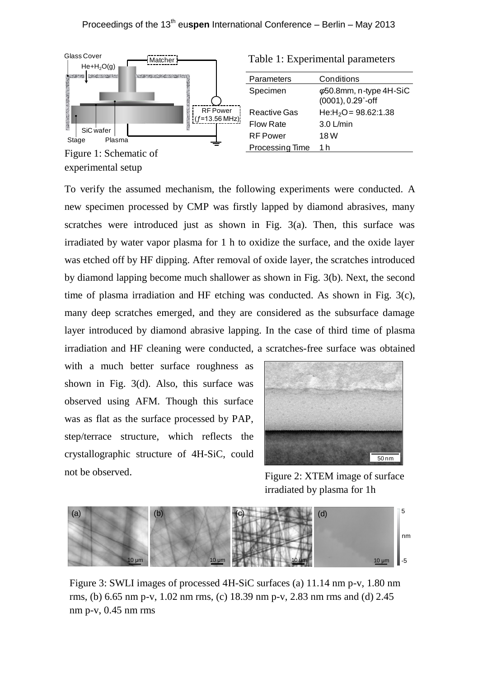

experimental setup

To verify the assumed mechanism, the following experiments were conducted. A new specimen processed by CMP was firstly lapped by diamond abrasives, many scratches were introduced just as shown in Fig. 3(a). Then, this surface was irradiated by water vapor plasma for 1 h to oxidize the surface, and the oxide layer was etched off by HF dipping. After removal of oxide layer, the scratches introduced by diamond lapping become much shallower as shown in Fig. 3(b). Next, the second time of plasma irradiation and HF etching was conducted. As shown in Fig. 3(c), many deep scratches emerged, and they are considered as the subsurface damage layer introduced by diamond abrasive lapping. In the case of third time of plasma irradiation and HF cleaning were conducted, a scratches-free surface was obtained **Example 11**<br> **Example 11**<br> **Example 11**<br> **Example 11**<br> **Example 11**<br> **Example 11**<br> **Example 11**<br> **Example 11**<br> **Example 11**<br> **Example 11**<br> **Example 11**<br> **Example 11**<br> **Example 11**<br> **Example 11**<br> **Example 11**<br> **Example 11** 

with a much better surface roughness as shown in Fig. 3(d). Also, this surface was observed using AFM. Though this surface was as flat as the surface processed by PAP, step/terrace structure, which reflects the crystallographic structure of 4H-SiC, could not be observed.

50 nm

Figure 2: XTEM image of surface irradiated by plasma for 1h



Figure 3: SWLI images of processed 4H-SiC surfaces (a) 11.14 nm p-v, 1.80 nm rms, (b) 6.65 nm p-v, 1.02 nm rms, (c) 18.39 nm p-v, 2.83 nm rms and (d) 2.45